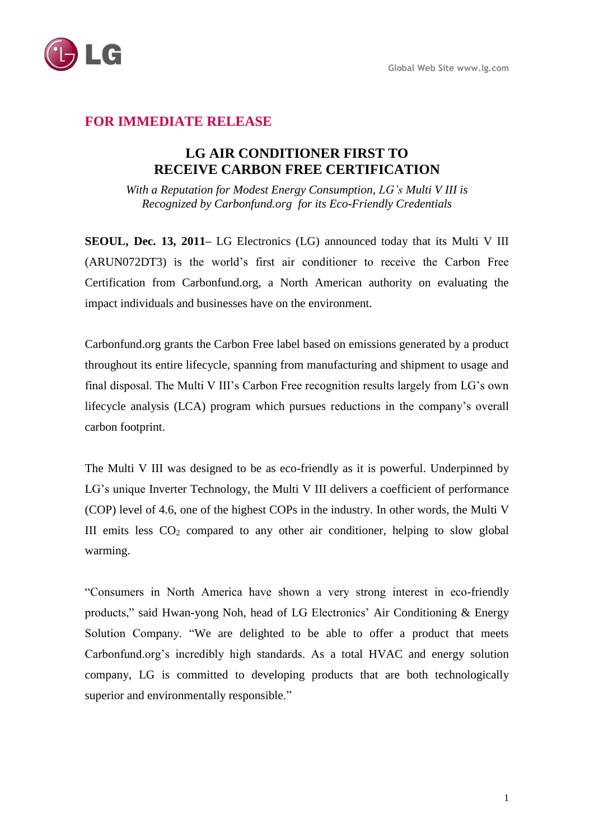

## **FOR IMMEDIATE RELEASE**

## **LG AIR CONDITIONER FIRST TO RECEIVE CARBON FREE CERTIFICATION**

*With a Reputation for Modest Energy Consumption, LG's Multi V III is Recognized by Carbonfund.org for its Eco-Friendly Credentials*

**SEOUL, Dec. 13, 2011–** LG Electronics (LG) announced today that its Multi V III (ARUN072DT3) is the world's first air conditioner to receive the Carbon Free Certification from Carbonfund.org, a North American authority on evaluating the impact individuals and businesses have on the environment.

Carbonfund.org grants the Carbon Free label based on emissions generated by a product throughout its entire lifecycle, spanning from manufacturing and shipment to usage and final disposal. The Multi V III's Carbon Free recognition results largely from LG's own lifecycle analysis (LCA) program which pursues reductions in the company's overall carbon footprint.

The Multi V III was designed to be as eco-friendly as it is powerful. Underpinned by LG's unique Inverter Technology, the Multi V III delivers a coefficient of performance (COP) level of 4.6, one of the highest COPs in the industry. In other words, the Multi V III emits less  $CO<sub>2</sub>$  compared to any other air conditioner, helping to slow global warming.

"Consumers in North America have shown a very strong interest in eco-friendly products," said Hwan-yong Noh, head of LG Electronics' Air Conditioning & Energy Solution Company. "We are delighted to be able to offer a product that meets Carbonfund.org's incredibly high standards. As a total HVAC and energy solution company, LG is committed to developing products that are both technologically superior and environmentally responsible."